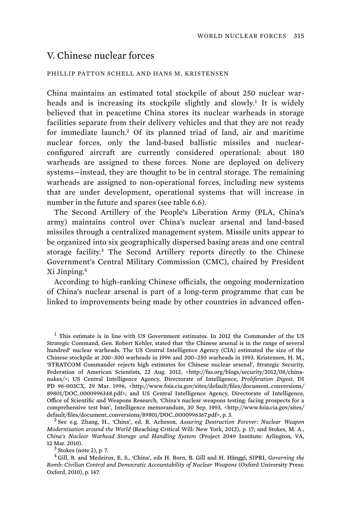# V. Chinese nuclear forces

#### PHILLIP PATTON SCHELL AND HANS M. KRISTENSEN

China maintains an estimated total stockpile of about 250 nuclear warheads and is increasing its stockpile slightly and slowly.<sup>1</sup> It is widely believed that in peacetime China stores its nuclear warheads in storage facilities separate from their delivery vehicles and that they are not ready for immediate launch.<sup>2</sup> Of its planned triad of land, air and maritime nuclear forces, only the land-based ballistic missiles and nuclearconfigured aircraft are currently considered operational: about 180 warheads are assigned to these forces. None are deployed on delivery systems—instead, they are thought to be in central storage. The remaining warheads are assigned to non-operational forces, including new systems that are under development, operational systems that will increase in number in the future and spares (see table 6.6).

The Second Artillery of the People's Liberation Army (PLA, China's army) maintains control over China's nuclear arsenal and land-based missiles through a centralized management system. Missile units appear to be organized into six geographically dispersed basing areas and one central storage facility.<sup>3</sup> The Second Artillery reports directly to the Chinese Government's Central Military Commission (CMC), chaired by President Xi Jinping.<sup>4</sup>

According to high-ranking Chinese officials, the ongoing modernization of China's nuclear arsenal is part of a long-term programme that can be linked to improvements being made by other countries in advanced offen-

<sup>1</sup> This estimate is in line with US Government estimates. In 2012 the Commander of the US Strategic Command, Gen. Robert Kehler, stated that 'the Chinese arsenal is in the range of several hundred' nuclear warheads. The US Central Intelligence Agency (CIA) estimated the size of the Chinese stockpile at 200–300 warheads in 1996 and 200–250 warheads in 1993. Kristensen, H. M., 'STRATCOM Commander rejects high estimates for Chinese nuclear arsenal', Strategic Security, Federation of American Scientists, 22 Aug. 2012, <http://fas.org/blogs/security/2012/08/chinanukes/>; US Central Intelligence Agency, Directorate of Intelligence, *Proliferation Digest*, DI PD 96-003CX, 29 Mar. 1996, <http://www.foia.cia.gov/sites/default/files/document\_conversions/ 89801/DOC\_0000996348.pdf>; and US Central Intelligence Agency, Directorate of Intelligence, Office of Scientific and Weapons Research, 'China's nuclear weapons testing: facing prospects for a comprehensive test ban', Intelligence memorandum, 30 Sep. 1993, <http://www.foia.cia.gov/sites/ default/files/document\_conversions/89801/DOC\_0000996367.pdf>, p. 3.

 See e.g. Zhang, H., 'China', ed. R. Acheson, *Assuring Destruction Forever: Nuclear Weapon Modernization around the World* (Reaching Critical Will: New York, 2012), p. 17; and Stokes, M. A., *China's Nuclear Warhead Storage and Handling System* (Project 2049 Institute: Arlington, VA, 12 Mar. 2010).

 $3$  Stokes (note 2), p. 7.

4 Gill, B. and Medeiros, E. S., 'China', eds H. Born, B. Gill and H. Hänggi, SIPRI, *Governing the Bomb: Civilian Control and Democratic Accountability of Nuclear Weapons* (Oxford University Press: Oxford, 2010), p. 147.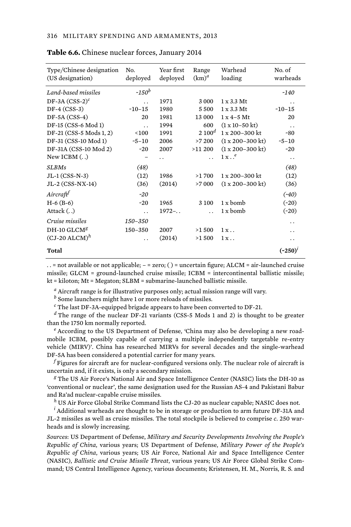|                                              | No.                  | Year first           |                      | Warhead                           | No. of               |
|----------------------------------------------|----------------------|----------------------|----------------------|-----------------------------------|----------------------|
| Type/Chinese designation<br>(US designation) | deployed             | deployed             | Range<br>$(km)^d$    | loading                           | warheads             |
|                                              |                      |                      |                      |                                   |                      |
| Land-based missiles                          | $~150^b$             |                      |                      |                                   | ~140                 |
| DF-3A $(CSS-2)^c$                            | $\ddot{\phantom{0}}$ | 1971                 | 3 0 0 0              | $1 \times 3.3$ Mt                 | . .                  |
| $DF-4 (CSS-3)$                               | $~10 - 15$           | 1980                 | 5500                 | $1 \times 3.3$ Mt                 | $~10 - 15$           |
| $DF-5A (CSS-4)$                              | 20                   | 1981                 | 13 000               | $1 \times 4 - 5$ Mt               | 20                   |
| DF-15 (CSS-6 Mod 1)                          | $\ddot{\phantom{0}}$ | 1994                 | 600                  | $(1 \times 10 - 50 \text{ kt})$   | $\ddot{\phantom{0}}$ |
| DF-21 (CSS-5 Mods 1, 2)                      | $100$                | 1991                 | $2 100^d$            | 1 x 200-300 kt                    | ~80                  |
| DF-31 (CSS-10 Mod 1)                         | $-5 - 10$            | 2006                 | >7200                | $(1 \times 200 - 300 \text{ kt})$ | $-5 - 10$            |
| DF-31A (CSS-10 Mod 2)                        | $-20$                | 2007                 | >11200               | $(1 x 200 - 300 k t)$             | $-20$                |
| New ICBM $(.)$                               |                      | $\ddot{\phantom{0}}$ |                      | $1x \cdot e$                      | . .                  |
| <b>SLBMs</b>                                 | (48)                 |                      |                      |                                   | (48)                 |
| $JL-1(CSS-N-3)$                              | (12)                 | 1986                 | >1700                | 1 x 200-300 kt                    | (12)                 |
| JL-2 (CSS-NX-14)                             | (36)                 | (2014)               | >7000                | $(1 \times 200 - 300 \text{ kt})$ | (36)                 |
| Aircraft <sup>f</sup>                        | $-20$                |                      |                      |                                   | $(*40)$              |
| $H-6$ ( $B-6$ )                              | $-20$                | 1965                 | 3 100                | $1 x$ bomb                        | $(*20)$              |
| Attack $(.)$                                 | $\ddot{\phantom{0}}$ | $1972-.$             | $\ddot{\phantom{0}}$ | 1 x bomb                          | $(*20)$              |
| Cruise missiles                              | 150-350              |                      |                      |                                   | . .                  |
| $DH-10$ GLCM <sup>g</sup>                    | 150-350              | 2007                 | >1500                | 1x                                | . .                  |
| $(CJ-20 ALCM)^h$                             | . .                  | (2014)               | >1500                | $1x$ .                            | . .                  |
| Total                                        |                      |                      |                      |                                   | $(-250)^t$           |

#### **Table 6.6.** Chinese nuclear forces, January 2014

 $\ldots$  = not available or not applicable; – = zero; () = uncertain figure; ALCM = air-launched cruise missile; GLCM = ground-launched cruise missile; ICBM = intercontinental ballistic missile; kt = kiloton; Mt = Megaton; SLBM = submarine-launched ballistic missile.

*a* Aircraft range is for illustrative purposes only; actual mission range will vary.

*b* Some launchers might have 1 or more reloads of missiles.

*c* The last DF-3A-equipped brigade appears to have been converted to DF-21.

*d* The range of the nuclear DF-21 variants (CSS-5 Mods 1 and 2) is thought to be greater than the 1750 km normally reported.

<sup>e</sup> According to the US Department of Defense, 'China may also be developing a new roadmobile ICBM, possibly capable of carrying a multiple independently targetable re-entry vehicle (MIRV)'. China has researched MIRVs for several decades and the single-warhead DF-5A has been considered a potential carrier for many years.

 $^f$  Figures for aircraft are for nuclear-configured versions only. The nuclear role of aircraft is uncertain and, if it exists, is only a secondary mission.

*g* The US Air Force's National Air and Space Intelligence Center (NASIC) lists the DH-10 as 'conventional or nuclear', the same designation used for the Russian AS-4 and Pakistani Babur and Ra'ad nuclear-capable cruise missiles.

*<sup>h</sup>* US Air Force Global Strike Command lists the CJ-20 as nuclear capable; NASIC does not.

*i* Additional warheads are thought to be in storage or production to arm future DF-31A and JL-2 missiles as well as cruise missiles. The total stockpile is believed to comprise *c*. 250 warheads and is slowly increasing.

*Sources*: US Department of Defense, *Military and Security Developments Involving the People's Republic of China*, various years; US Department of Defense, *Military Power of the People's Republic of China*, various years; US Air Force, National Air and Space Intelligence Center (NASIC), *Ballistic and Cruise Missile Threat*, various years; US Air Force Global Strike Command; US Central Intelligence Agency, various documents; Kristensen, H. M., Norris, R. S. and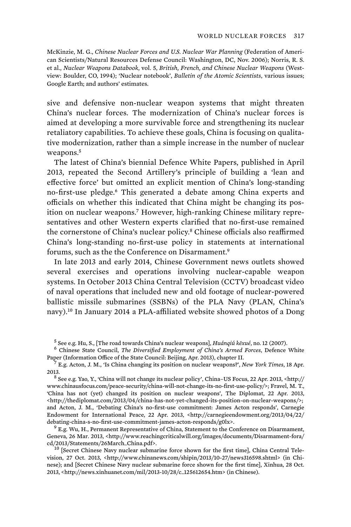McKinzie, M. G., *Chinese Nuclear Forces and U.S. Nuclear War Planning* (Federation of American Scientists/Natural Resources Defense Council: Washington, DC, Nov. 2006); Norris, R. S. et al., *Nuclear Weapons Databook*, vol. 5, *British, French, and Chinese Nuclear Weapons* (Westview: Boulder, CO, 1994); 'Nuclear notebook', *Bulletin of the Atomic Scientists*, various issues; Google Earth; and authors' estimates.

sive and defensive non-nuclear weapon systems that might threaten China's nuclear forces. The modernization of China's nuclear forces is aimed at developing a more survivable force and strengthening its nuclear retaliatory capabilities. To achieve these goals, China is focusing on qualitative modernization, rather than a simple increase in the number of nuclear weapons.<sup>5</sup>

The latest of China's biennial Defence White Papers, published in April 2013, repeated the Second Artillery's principle of building a 'lean and effective force' but omitted an explicit mention of China's long-standing no-first-use pledge.<sup>6</sup> This generated a debate among China experts and officials on whether this indicated that China might be changing its position on nuclear weapons.<sup>7</sup> However, high-ranking Chinese military representatives and other Western experts clarified that no-first-use remained the cornerstone of China's nuclear policy.<sup>8</sup> Chinese officials also reaffirmed China's long-standing no-first-use policy in statements at international forums, such as the the Conference on Disarmament.<sup>9</sup>

In late 2013 and early 2014, Chinese Government news outlets showed several exercises and operations involving nuclear-capable weapon systems. In October 2013 China Central Television (CCTV) broadcast video of naval operations that included new and old footage of nuclear-powered ballistic missile submarines (SSBNs) of the PLA Navy (PLAN, China's navy).<sup>10</sup> In January 2014 a PLA-affiliated website showed photos of a Dong

 $9$  E.g. Wu, H., Permanent Representative of China, Statement to the Conference on Disarmament, Geneva, 26 Mar. 2013, <http://www.reachingcriticalwill.org/images/documents/Disarmament-fora/<br>cd/2013/Statements/26March\_China.pdf>.

 $10$  [Secret Chinese Navy nuclear submarine force shown for the first time], China Central Television, 27 Oct. 2013, <http://www.chinanews.com/shipin/2013/10-27/news316598.shtml> (in Chinese); and [Secret Chinese Navy nuclear submarine force shown for the first time], Xinhua, 28 Oct. 2013, <http://news.xinhuanet.com/mil/2013-10/28/c\_125612654.htm> (in Chinese).

<sup>&</sup>lt;sup>5</sup> See e.g. Hu, S., [The road towards China's nuclear weapons], *Huánqiú kēxué*, no. 12 (2007).<br><sup>6</sup> Chinasa State Council, *The Diversified Employment of China's Armed Foress*, Defonse.

Chinese State Council, *The Diversified Employment of China's Armed Forces*, Defence White Paper (Information Office of the State Council: Beijing, Apr. 2013), chapter II. <sup>7</sup>

E.g. Acton, J. M., 'Is China changing its position on nuclear weapons?', *New York Times*, 18 Apr. 2013.

See e.g. Yao, Y., 'China will not change its nuclear policy', China–US Focus, 22 Apr. 2013, <http:// www.chinausfocus.com/peace-security/china-will-not-change-its-no-first-use-policy/>; Fravel, M. T., 'China has not (yet) changed its position on nuclear weapons', The Diplomat, 22 Apr. 2013, <http://thediplomat.com/2013/04/china-has-not-yet-changed-its-position-on-nuclear-weapons/>; and Acton, J. M., 'Debating China's no-first-use commitment: James Acton responds', Carnegie Endowment for International Peace, 22 Apr. 2013, <http://carnegieendowment.org/2013/04/22/ debating-china-s-no-first-use-commitment-james-acton-responds/g0lx>. <sup>9</sup>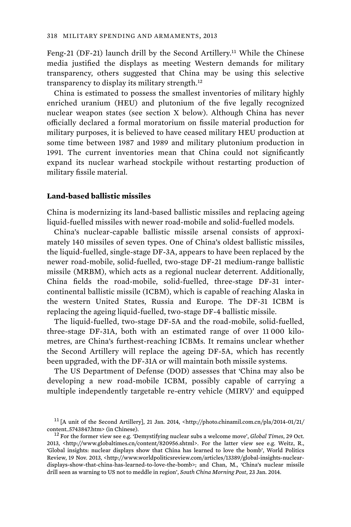Feng-21 (DF-21) launch drill by the Second Artillery.<sup>11</sup> While the Chinese media justified the displays as meeting Western demands for military transparency, others suggested that China may be using this selective transparency to display its military strength.<sup>12</sup>

China is estimated to possess the smallest inventories of military highly enriched uranium (HEU) and plutonium of the five legally recognized nuclear weapon states (see section X below). Although China has never officially declared a formal moratorium on fissile material production for military purposes, it is believed to have ceased military HEU production at some time between 1987 and 1989 and military plutonium production in 1991. The current inventories mean that China could not significantly expand its nuclear warhead stockpile without restarting production of military fissile material.

## **Land-based ballistic missiles**

China is modernizing its land-based ballistic missiles and replacing ageing liquid-fuelled missiles with newer road-mobile and solid-fuelled models.

China's nuclear-capable ballistic missile arsenal consists of approximately 140 missiles of seven types. One of China's oldest ballistic missiles, the liquid-fuelled, single-stage DF-3A, appears to have been replaced by the newer road-mobile, solid-fuelled, two-stage DF-21 medium-range ballistic missile (MRBM), which acts as a regional nuclear deterrent. Additionally, China fields the road-mobile, solid-fuelled, three-stage DF-31 intercontinental ballistic missile (ICBM), which is capable of reaching Alaska in the western United States, Russia and Europe. The DF-31 ICBM is replacing the ageing liquid-fuelled, two-stage DF-4 ballistic missile.

The liquid-fuelled, two-stage DF-5A and the road-mobile, solid-fuelled, three-stage DF-31A, both with an estimated range of over 11 000 kilometres, are China's furthest-reaching ICBMs. It remains unclear whether the Second Artillery will replace the ageing DF-5A, which has recently been upgraded, with the DF-31A or will maintain both missile systems.

The US Department of Defense (DOD) assesses that 'China may also be developing a new road-mobile ICBM, possibly capable of carrying a multiple independently targetable re-entry vehicle (MIRV)' and equipped

<sup>&</sup>lt;sup>11</sup> [A unit of the Second Artillery], 21 Jan. 2014, <http://photo.chinamil.com.cn/pla/2014-01/21/ content\_5743847.htm> (in Chinese).

<sup>&</sup>lt;sup>12</sup> For the former view see e.g. 'Demystifying nuclear subs a welcome move', *Global Times*, 29 Oct. 2013, <http://www.globaltimes.cn/content/820956.shtml>. For the latter view see e.g. Weitz, R., 'Global insights: nuclear displays show that China has learned to love the bomb', World Politics Review, 19 Nov. 2013, <http://www.worldpoliticsreview.com/articles/13389/global-insights-nucleardisplays-show-that-china-has-learned-to-love-the-bomb>; and Chan, M., 'China's nuclear missile drill seen as warning to US not to meddle in region', *South China Morning Post*, 23 Jan. 2014.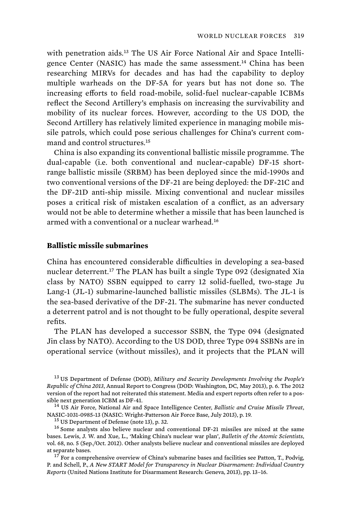with penetration aids.<sup>13</sup> The US Air Force National Air and Space Intelligence Center (NASIC) has made the same assessment.<sup>14</sup> China has been researching MIRVs for decades and has had the capability to deploy multiple warheads on the DF-5A for years but has not done so. The increasing efforts to field road-mobile, solid-fuel nuclear-capable ICBMs reflect the Second Artillery's emphasis on increasing the survivability and mobility of its nuclear forces. However, according to the US DOD, the Second Artillery has relatively limited experience in managing mobile missile patrols, which could pose serious challenges for China's current command and control structures.<sup>15</sup>

China is also expanding its conventional ballistic missile programme. The dual-capable (i.e. both conventional and nuclear-capable) DF-15 shortrange ballistic missile (SRBM) has been deployed since the mid-1990s and two conventional versions of the DF-21 are being deployed: the DF-21C and the DF-21D anti-ship missile. Mixing conventional and nuclear missiles poses a critical risk of mistaken escalation of a conflict, as an adversary would not be able to determine whether a missile that has been launched is armed with a conventional or a nuclear warhead.<sup>16</sup>

## **Ballistic missile submarines**

China has encountered considerable difficulties in developing a sea-based nuclear deterrent.<sup>17</sup> The PLAN has built a single Type 092 (designated Xia class by NATO) SSBN equipped to carry 12 solid-fuelled, two-stage Ju Lang-1 (JL-1) submarine-launched ballistic missiles (SLBMs). The JL-1 is the sea-based derivative of the DF-21. The submarine has never conducted a deterrent patrol and is not thought to be fully operational, despite several refits.

The PLAN has developed a successor SSBN, the Type 094 (designated Jin class by NATO). According to the US DOD, three Type 094 SSBNs are in operational service (without missiles), and it projects that the PLAN will

<sup>13</sup> US Department of Defense (DOD), *Military and Security Developments Involving the People's Republic of China 2013*, Annual Report to Congress (DOD: Washington, DC, May 2013), p. 6. The 2012 version of the report had not reiterated this statement. Media and expert reports often refer to a pos-

sible next generation ICBM as DF-41.<br><sup>14</sup> US Air Force, National Air and Space Intelligence Center, *Ballistic and Cruise Missile Threat*,<br>NASIC-1031-0985-13 (NASIC: Wright-Patterson Air Force Base, July 2013), p. 19.

<sup>15</sup> US Department of Defense (note 13), p. 32.  $16$  Some analysts also believe nuclear and conventional DF-21 missiles are mixed at the same bases. Lewis, J. W. and Xue, L., 'Making China's nuclear war plan', *Bulletin of the Atomic Scientists*, vol. 68, no. 5 (Sep./Oct. 2012). Other analysts believe nuclear and conventional missiles are deployed

 $17$  For a comprehensive overview of China's submarine bases and facilities see Patton, T., Podvig, P. and Schell, P., *A New START Model for Transparency in Nuclear Disarmament: Individual Country Reports* (United Nations Institute for Disarmament Research: Geneva, 2013), pp. 13–16.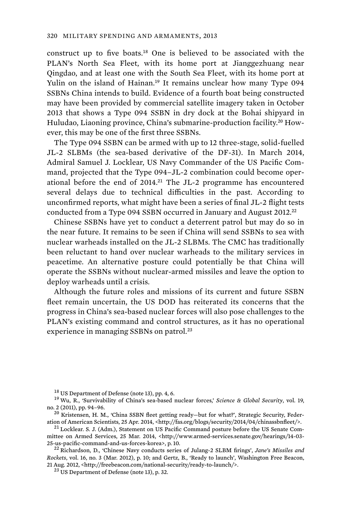construct up to five boats.<sup>18</sup> One is believed to be associated with the PLAN's North Sea Fleet, with its home port at Jianggezhuang near Qingdao, and at least one with the South Sea Fleet, with its home port at Yulin on the island of Hainan.<sup>19</sup> It remains unclear how many Type 094 SSBNs China intends to build. Evidence of a fourth boat being constructed may have been provided by commercial satellite imagery taken in October 2013 that shows a Type 094 SSBN in dry dock at the Bohai shipyard in Huludao, Liaoning province, China's submarine-production facility.<sup>20</sup> However, this may be one of the first three SSBNs.

The Type 094 SSBN can be armed with up to 12 three-stage, solid-fuelled JL-2 SLBMs (the sea-based derivative of the DF-31). In March 2014, Admiral Samuel J. Locklear, US Navy Commander of the US Pacific Command, projected that the Type 094–JL-2 combination could become operational before the end of 2014.<sup>21</sup> The JL-2 programme has encountered several delays due to technical difficulties in the past. According to unconfirmed reports, what might have been a series of final JL-2 flight tests conducted from a Type 094 SSBN occurred in January and August 2012.<sup>22</sup>

Chinese SSBNs have yet to conduct a deterrent patrol but may do so in the near future. It remains to be seen if China will send SSBNs to sea with nuclear warheads installed on the JL-2 SLBMs. The CMC has traditionally been reluctant to hand over nuclear warheads to the military services in peacetime. An alternative posture could potentially be that China will operate the SSBNs without nuclear-armed missiles and leave the option to deploy warheads until a crisis.

Although the future roles and missions of its current and future SSBN fleet remain uncertain, the US DOD has reiterated its concerns that the progress in China's sea-based nuclear forces will also pose challenges to the PLAN's existing command and control structures, as it has no operational experience in managing SSBNs on patrol.<sup>23</sup>

 $21$  Locklear. S. J. (Adm.), Statement on US Pacific Command posture before the US Senate Committee on Armed Services, 25 Mar. 2014, <http://www.armed-services.senate.gov/hearings/14-03-

<sup>22</sup> Richardson, D., 'Chinese Navy conducts series of Julang-2 SLBM firings', *Jane's Missiles and Rockets*, vol. 16, no. 3 (Mar. 2012), p. 10; and Gertz, B., 'Ready to launch', Washington Free Beacon, 21 Aug. 2012, <http://freebeacon.com/national-security/ready-to-launch/>. <sup>23</sup> US Department of Defense (note 13), p. 32.

<sup>&</sup>lt;sup>18</sup> US Department of Defense (note 13), pp. 4, 6.<br><sup>19</sup> Wu, R., 'Survivability of China's sea-based nuclear forces,' *Science & Global Security*, vol. 19,

no. 2 (2011), pp. 94–96.<br><sup>20</sup> Kristensen, H. M., 'China SSBN fleet getting ready—but for what?', Strategic Security, Feder-<br>ation of American Scientists, 25 Apr. 2014, <http://fas.org/blogs/security/2014/04/chinassbnfleet